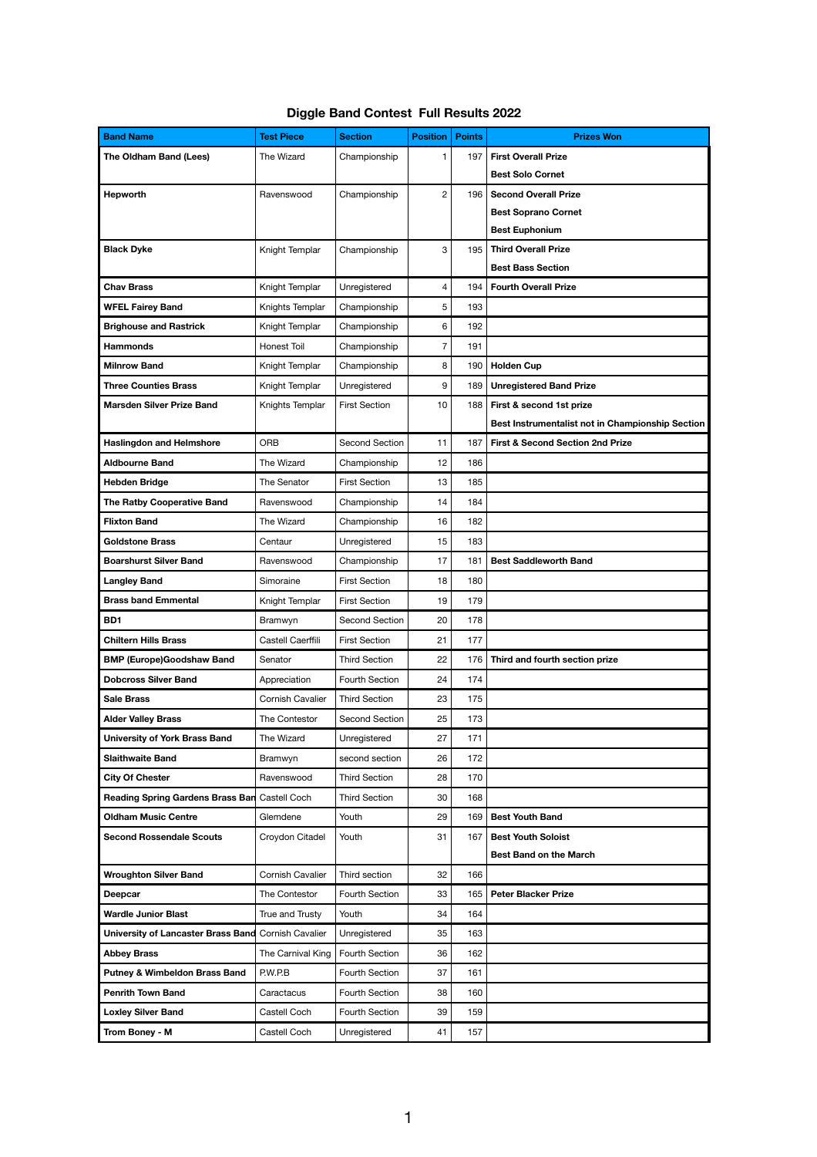## **Diggle Band Contest Full Results 2022**

| <b>Band Name</b>                                           | <b>Test Piece</b>       | <b>Section</b>        | <b>Position</b> | <b>Points</b> | <b>Prizes Won</b>                                |
|------------------------------------------------------------|-------------------------|-----------------------|-----------------|---------------|--------------------------------------------------|
| The Oldham Band (Lees)                                     | The Wizard              | Championship          | 1               | 197           | <b>First Overall Prize</b>                       |
|                                                            |                         |                       |                 |               | <b>Best Solo Cornet</b>                          |
| Hepworth                                                   | Ravenswood              | Championship          | $\overline{c}$  | 196           | <b>Second Overall Prize</b>                      |
|                                                            |                         |                       |                 |               | <b>Best Soprano Cornet</b>                       |
|                                                            |                         |                       |                 |               | <b>Best Euphonium</b>                            |
| <b>Black Dyke</b>                                          | Knight Templar          | Championship          | 3               | 195           | <b>Third Overall Prize</b>                       |
|                                                            |                         |                       |                 |               | <b>Best Bass Section</b>                         |
| <b>Chav Brass</b>                                          | Knight Templar          | Unregistered          | 4               | 194           | <b>Fourth Overall Prize</b>                      |
| <b>WFEL Fairey Band</b>                                    | Knights Templar         | Championship          | 5               | 193           |                                                  |
| <b>Brighouse and Rastrick</b>                              | Knight Templar          | Championship          | 6               | 192           |                                                  |
| <b>Hammonds</b>                                            | <b>Honest Toil</b>      | Championship          | $\overline{7}$  | 191           |                                                  |
| <b>Milnrow Band</b>                                        | Knight Templar          | Championship          | 8               | 190           | <b>Holden Cup</b>                                |
| <b>Three Counties Brass</b>                                | Knight Templar          | Unregistered          | 9               | 189           | <b>Unregistered Band Prize</b>                   |
| <b>Marsden Silver Prize Band</b>                           | Knights Templar         | <b>First Section</b>  | 10              | 188           | First & second 1st prize                         |
|                                                            |                         |                       |                 |               | Best Instrumentalist not in Championship Section |
| <b>Haslingdon and Helmshore</b>                            | <b>ORB</b>              | Second Section        | 11              | 187           | <b>First &amp; Second Section 2nd Prize</b>      |
| <b>Aldbourne Band</b>                                      | The Wizard              | Championship          | 12              | 186           |                                                  |
| <b>Hebden Bridge</b>                                       | The Senator             | <b>First Section</b>  | 13              | 185           |                                                  |
| <b>The Ratby Cooperative Band</b>                          | Ravenswood              | Championship          | 14              | 184           |                                                  |
| <b>Flixton Band</b>                                        | The Wizard              | Championship          | 16              | 182           |                                                  |
| <b>Goldstone Brass</b>                                     | Centaur                 | Unregistered          | 15              | 183           |                                                  |
| <b>Boarshurst Silver Band</b>                              | Ravenswood              | Championship          | 17              | 181           | <b>Best Saddleworth Band</b>                     |
| <b>Langley Band</b>                                        | Simoraine               | <b>First Section</b>  | 18              | 180           |                                                  |
| <b>Brass band Emmental</b>                                 | Knight Templar          | <b>First Section</b>  | 19              | 179           |                                                  |
| BD1                                                        | Bramwyn                 | Second Section        | 20              | 178           |                                                  |
| <b>Chiltern Hills Brass</b>                                | Castell Caerffili       | <b>First Section</b>  | 21              | 177           |                                                  |
| <b>BMP (Europe)Goodshaw Band</b>                           | Senator                 | <b>Third Section</b>  | 22              | 176           | Third and fourth section prize                   |
| <b>Dobcross Silver Band</b>                                | Appreciation            | <b>Fourth Section</b> | 24              | 174           |                                                  |
| <b>Sale Brass</b>                                          | <b>Cornish Cavalier</b> | <b>Third Section</b>  | 23              | 175           |                                                  |
| <b>Alder Valley Brass</b>                                  | The Contestor           | Second Section        | 25              | 173           |                                                  |
| <b>University of York Brass Band</b>                       | The Wizard              | Unregistered          | 27              | 171           |                                                  |
| <b>Slaithwaite Band</b>                                    | Bramwyn                 | second section        | 26              | 172           |                                                  |
| <b>City Of Chester</b>                                     | Ravenswood              | <b>Third Section</b>  | 28              | 170           |                                                  |
| <b>Reading Spring Gardens Brass Ban</b>                    | Castell Coch            | <b>Third Section</b>  | 30              | 168           |                                                  |
| <b>Oldham Music Centre</b>                                 | Glemdene                | Youth                 | 29              | 169           | <b>Best Youth Band</b>                           |
| <b>Second Rossendale Scouts</b>                            | Croydon Citadel         | Youth                 | 31              | 167           | <b>Best Youth Soloist</b>                        |
|                                                            |                         |                       |                 |               | <b>Best Band on the March</b>                    |
| <b>Wroughton Silver Band</b>                               | Cornish Cavalier        | Third section         | 32              | 166           |                                                  |
| <b>Deepcar</b>                                             | The Contestor           | <b>Fourth Section</b> | 33              | 165           | <b>Peter Blacker Prize</b>                       |
| <b>Wardle Junior Blast</b>                                 | True and Trusty         | Youth                 | 34              | 164           |                                                  |
| <b>University of Lancaster Brass Band Cornish Cavalier</b> |                         | Unregistered          | 35              | 163           |                                                  |
| <b>Abbey Brass</b>                                         | The Carnival King       | Fourth Section        | 36              | 162           |                                                  |
| <b>Putney &amp; Wimbeldon Brass Band</b>                   | P.W.P.B                 | Fourth Section        | 37              | 161           |                                                  |
| <b>Penrith Town Band</b>                                   | Caractacus              | Fourth Section        | 38              | 160           |                                                  |
| <b>Loxley Silver Band</b>                                  | Castell Coch            | Fourth Section        | 39              | 159           |                                                  |
| Trom Boney - M                                             | Castell Coch            | Unregistered          | 41              | 157           |                                                  |